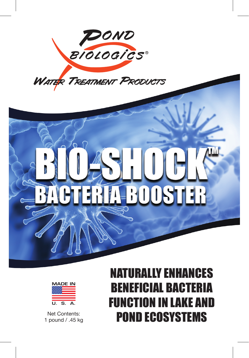





1 pound / .45 kg

## NATURALLY ENHANCES BENEFICIAL BACTERIA FUNCTION IN LAKE AND Net Contents:<br>nound / 45 kg<br>**POND ECOSYSTEMS**